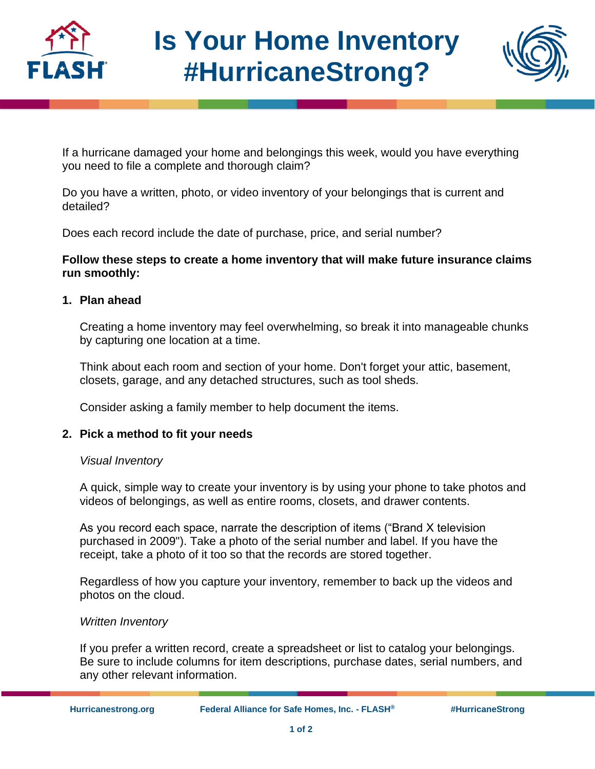

# **Is Your Home Inventory #HurricaneStrong?**



If a hurricane damaged your home and belongings this week, would you have everything you need to file a complete and thorough claim?

Do you have a written, photo, or video inventory of your belongings that is current and detailed?

Does each record include the date of purchase, price, and serial number?

## **Follow these steps to create a home inventory that will make future insurance claims run smoothly:**

## **1. Plan ahead**

Creating a home inventory may feel overwhelming, so break it into manageable chunks by capturing one location at a time.

Think about each room and section of your home. Don't forget your attic, basement, closets, garage, and any detached structures, such as tool sheds.

Consider asking a family member to help document the items.

## **2. Pick a method to fit your needs**

## *Visual Inventory*

A quick, simple way to create your inventory is by using your phone to take photos and videos of belongings, as well as entire rooms, closets, and drawer contents.

As you record each space, narrate the description of items ("Brand X television purchased in 2009"). Take a photo of the serial number and label. If you have the receipt, take a photo of it too so that the records are stored together.

Regardless of how you capture your inventory, remember to back up the videos and photos on the cloud.

## *Written Inventory*

If you prefer a written record, create a spreadsheet or list to catalog your belongings. Be sure to include columns for item descriptions, purchase dates, serial numbers, and any other relevant information.